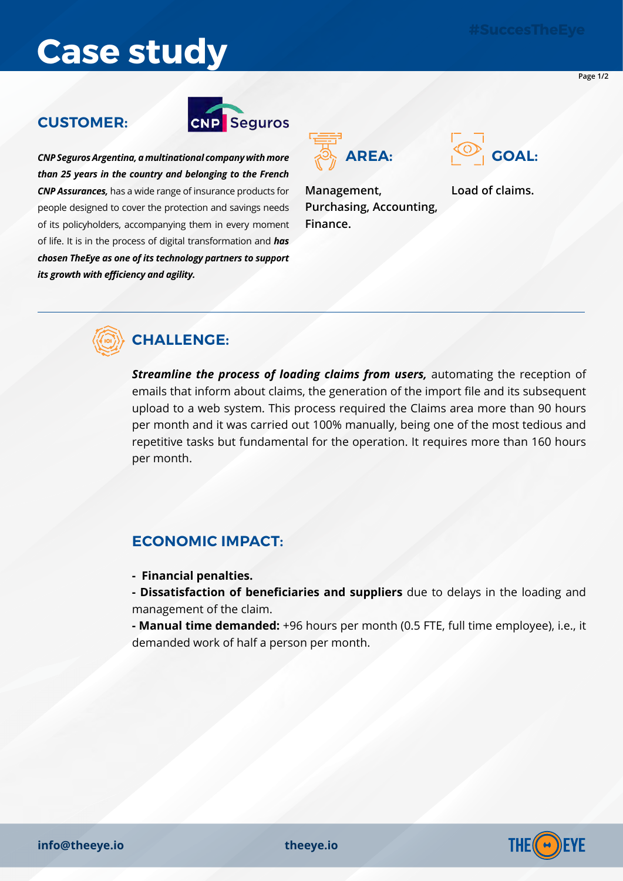**Page 1/2**

# **Case study**

### **CUSTOMER:**



*CNP Seguros Argentina, a multinational company with more than 25 years in the country and belonging to the French CNP Assurances,* has a wide range of insurance products for people designed to cover the protection and savings needs of its policyholders, accompanying them in every moment of life. It is in the process of digital transformation and *has chosen TheEye as one of its technology partners to support its growth with efficiency and agility.*



**Management, Purchasing, Accounting, Finance.**



**Load of claims.**



### **CHALLENGE:**

*Streamline the process of loading claims from users,* automating the reception of emails that inform about claims, the generation of the import file and its subsequent upload to a web system. This process required the Claims area more than 90 hours per month and it was carried out 100% manually, being one of the most tedious and repetitive tasks but fundamental for the operation. It requires more than 160 hours per month.

### **ECONOMIC IMPACT:**

- **Financial penalties.**
- **Dissatisfaction of beneficiaries and suppliers** due to delays in the loading and management of the claim.

**- Manual time demanded:** +96 hours per month (0.5 FTE, full time employee), i.e., it demanded work of half a person per month.